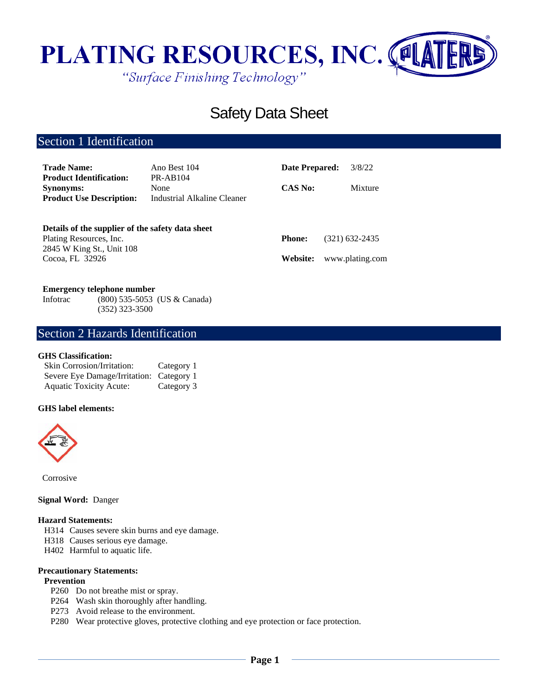

# Safety Data Sheet

# Section 1 Identification

| <b>Trade Name:</b>                                 | Ano Best 104                | <b>Date Prepared:</b> | 3/8/22          |
|----------------------------------------------------|-----------------------------|-----------------------|-----------------|
| <b>Product Identification:</b><br><b>Synonyms:</b> | <b>PR-AB104</b><br>None     | <b>CAS No:</b>        | Mixture         |
| <b>Product Use Description:</b>                    | Industrial Alkaline Cleaner |                       |                 |
| Details of the supplier of the safety data sheet   |                             |                       |                 |
| Plating Resources, Inc.                            |                             | <b>Phone:</b>         | (321) 632-2435  |
| 2845 W King St., Unit 108                          |                             |                       |                 |
| Cocoa, FL 32926                                    |                             | Website:              | www.plating.com |

#### **Emergency telephone number**

Infotrac (800) 535-5053 (US & Canada) (352) 323-3500

# Section 2 Hazards Identification

# **GHS Classification:**

| <b>Skin Corrosion/Irritation:</b>        | Category 1 |
|------------------------------------------|------------|
| Severe Eye Damage/Irritation: Category 1 |            |
| <b>Aquatic Toxicity Acute:</b>           | Category 3 |

#### **GHS label elements:**



Corrosive

#### **Signal Word:** Danger

#### **Hazard Statements:**

- H314 Causes severe skin burns and eye damage.
- H318 Causes serious eye damage.
- H402 Harmful to aquatic life.

#### **Precautionary Statements:**

# **Prevention**

- P260 Do not breathe mist or spray.
- P264 Wash skin thoroughly after handling.
- P273 Avoid release to the environment.
- P280 Wear protective gloves, protective clothing and eye protection or face protection.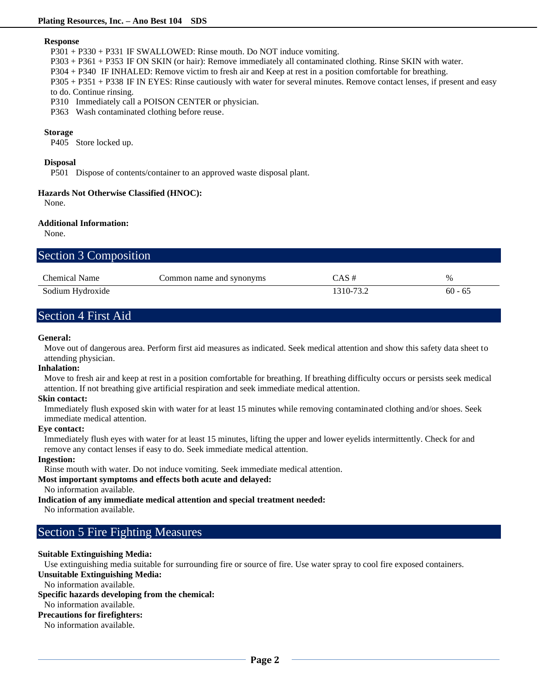#### **Response**

P301 + P330 + P331 IF SWALLOWED: Rinse mouth. Do NOT induce vomiting.

P303 + P361 + P353 IF ON SKIN (or hair): Remove immediately all contaminated clothing. Rinse SKIN with water.

P304 + P340 IF INHALED: Remove victim to fresh air and Keep at rest in a position comfortable for breathing.

P305 + P351 + P338 IF IN EYES: Rinse cautiously with water for several minutes. Remove contact lenses, if present and easy to do. Continue rinsing.

P310 Immediately call a POISON CENTER or physician.

P363 Wash contaminated clothing before reuse.

# **Storage**

P405 Store locked up.

### **Disposal**

P501 Dispose of contents/container to an approved waste disposal plant.

# **Hazards Not Otherwise Classified (HNOC):**

None.

### **Additional Information:**

None.

|  | Section 3 Composition |
|--|-----------------------|
|--|-----------------------|

| <b>Chemical Name</b> | Common name and synonyms | CAS #     | $\%$      |
|----------------------|--------------------------|-----------|-----------|
| Sodium Hydroxide     |                          | 1310-73.2 | $60 - 65$ |

# Section 4 First Aid

### **General:**

Move out of dangerous area. Perform first aid measures as indicated. Seek medical attention and show this safety data sheet to attending physician.

#### **Inhalation:**

Move to fresh air and keep at rest in a position comfortable for breathing. If breathing difficulty occurs or persists seek medical attention. If not breathing give artificial respiration and seek immediate medical attention.

#### **Skin contact:**

Immediately flush exposed skin with water for at least 15 minutes while removing contaminated clothing and/or shoes. Seek immediate medical attention.

#### **Eye contact:**

Immediately flush eyes with water for at least 15 minutes, lifting the upper and lower eyelids intermittently. Check for and remove any contact lenses if easy to do. Seek immediate medical attention.

#### **Ingestion:**

Rinse mouth with water. Do not induce vomiting. Seek immediate medical attention.

#### **Most important symptoms and effects both acute and delayed:**

No information available.

# **Indication of any immediate medical attention and special treatment needed:**

No information available.

# Section 5 Fire Fighting Measures

#### **Suitable Extinguishing Media:**

Use extinguishing media suitable for surrounding fire or source of fire. Use water spray to cool fire exposed containers.

# **Unsuitable Extinguishing Media:**

No information available.

# **Specific hazards developing from the chemical:**

# No information available.

# **Precautions for firefighters:**

No information available.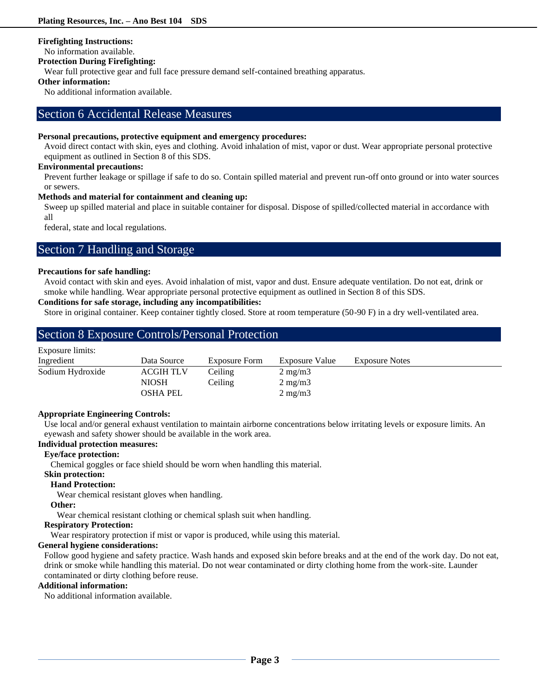### **Firefighting Instructions:**

No information available.

# **Protection During Firefighting:**

Wear full protective gear and full face pressure demand self-contained breathing apparatus.

# **Other information:**

No additional information available.

# Section 6 Accidental Release Measures

### **Personal precautions, protective equipment and emergency procedures:**

Avoid direct contact with skin, eyes and clothing. Avoid inhalation of mist, vapor or dust. Wear appropriate personal protective equipment as outlined in Section 8 of this SDS.

#### **Environmental precautions:**

Prevent further leakage or spillage if safe to do so. Contain spilled material and prevent run-off onto ground or into water sources or sewers.

## **Methods and material for containment and cleaning up:**

Sweep up spilled material and place in suitable container for disposal. Dispose of spilled/collected material in accordance with all

federal, state and local regulations.

# Section 7 Handling and Storage

### **Precautions for safe handling:**

Avoid contact with skin and eyes. Avoid inhalation of mist, vapor and dust. Ensure adequate ventilation. Do not eat, drink or smoke while handling. Wear appropriate personal protective equipment as outlined in Section 8 of this SDS.

# **Conditions for safe storage, including any incompatibilities:**

Store in original container. Keep container tightly closed. Store at room temperature (50-90 F) in a dry well-ventilated area.

|                  | <b>Section 8 Exposure Controls/Personal Protection</b> |               |                  |                       |  |  |
|------------------|--------------------------------------------------------|---------------|------------------|-----------------------|--|--|
| Exposure limits: |                                                        |               |                  |                       |  |  |
| Ingredient       | Data Source                                            | Exposure Form | Exposure Value   | <b>Exposure Notes</b> |  |  |
| Sodium Hydroxide | <b>ACGIH TLV</b>                                       | Ceiling       | $2 \text{ mg/m}$ |                       |  |  |
|                  | <b>NIOSH</b>                                           | Ceiling       | $2 \text{ mg/m}$ |                       |  |  |
|                  | <b>OSHA PEL</b>                                        |               | $2 \text{ mg/m}$ |                       |  |  |

# **Appropriate Engineering Controls:**

Use local and/or general exhaust ventilation to maintain airborne concentrations below irritating levels or exposure limits. An eyewash and safety shower should be available in the work area.

# **Individual protection measures:**

# **Eye/face protection:**

Chemical goggles or face shield should be worn when handling this material.

# **Skin protection:**

## **Hand Protection:**

Wear chemical resistant gloves when handling.

#### **Other:**

Wear chemical resistant clothing or chemical splash suit when handling.

### **Respiratory Protection:**

Wear respiratory protection if mist or vapor is produced, while using this material.

# **General hygiene considerations:**

Follow good hygiene and safety practice. Wash hands and exposed skin before breaks and at the end of the work day. Do not eat, drink or smoke while handling this material. Do not wear contaminated or dirty clothing home from the work-site. Launder contaminated or dirty clothing before reuse.

# **Additional information:**

No additional information available.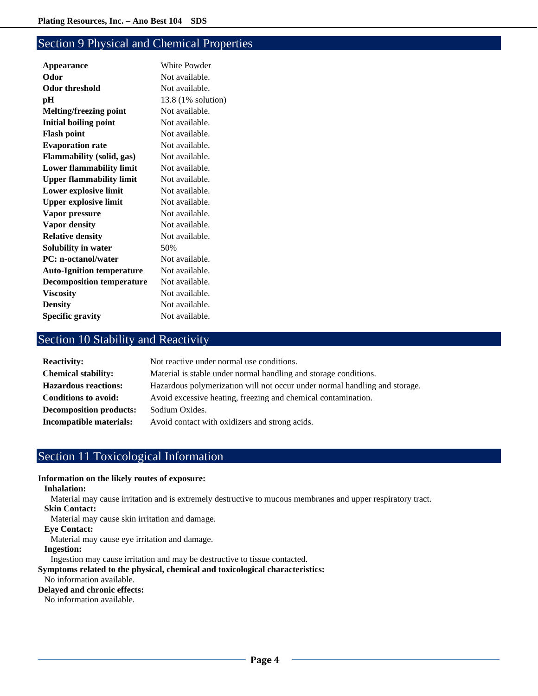# Section 9 Physical and Chemical Properties

| White Powder       |
|--------------------|
| Not available.     |
| Not available.     |
| 13.8 (1% solution) |
| Not available.     |
| Not available.     |
| Not available.     |
| Not available.     |
| Not available.     |
| Not available.     |
| Not available.     |
| Not available.     |
| Not available.     |
| Not available.     |
| Not available.     |
| Not available.     |
| 50%                |
| Not available.     |
| Not available.     |
| Not available.     |
| Not available.     |
| Not available.     |
| Not available.     |
|                    |

# Section 10 Stability and Reactivity

| <b>Reactivity:</b>             | Not reactive under normal use conditions.                                  |
|--------------------------------|----------------------------------------------------------------------------|
| <b>Chemical stability:</b>     | Material is stable under normal handling and storage conditions.           |
| <b>Hazardous reactions:</b>    | Hazardous polymerization will not occur under normal handling and storage. |
| <b>Conditions to avoid:</b>    | Avoid excessive heating, freezing and chemical contamination.              |
| <b>Decomposition products:</b> | Sodium Oxides.                                                             |
| Incompatible materials:        | Avoid contact with oxidizers and strong acids.                             |

# Section 11 Toxicological Information

# **Information on the likely routes of exposure:**

# **Inhalation:**

Material may cause irritation and is extremely destructive to mucous membranes and upper respiratory tract. **Skin Contact:**

Material may cause skin irritation and damage.

#### **Eye Contact:**

Material may cause eye irritation and damage.

#### **Ingestion:**

Ingestion may cause irritation and may be destructive to tissue contacted.

# **Symptoms related to the physical, chemical and toxicological characteristics:**

# No information available.

**Delayed and chronic effects:**

No information available.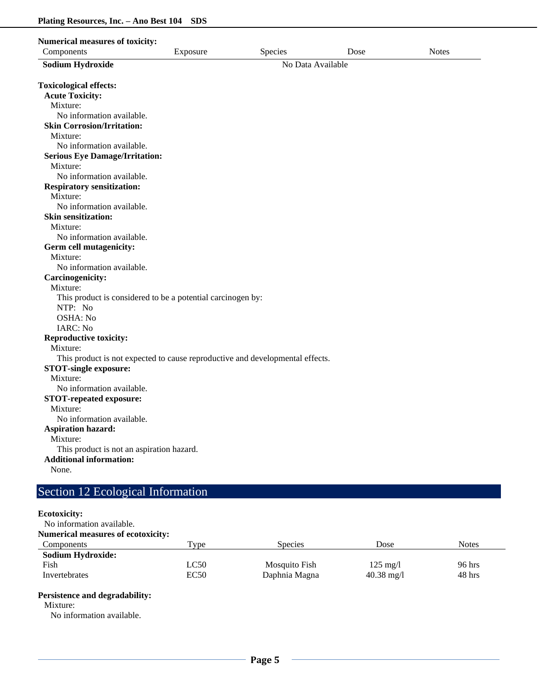| <b>Numerical measures of toxicity:</b>                                        |          |                   |      |              |
|-------------------------------------------------------------------------------|----------|-------------------|------|--------------|
| Components                                                                    | Exposure | Species           | Dose | <b>Notes</b> |
| <b>Sodium Hydroxide</b>                                                       |          | No Data Available |      |              |
|                                                                               |          |                   |      |              |
| <b>Toxicological effects:</b>                                                 |          |                   |      |              |
| <b>Acute Toxicity:</b>                                                        |          |                   |      |              |
| Mixture:                                                                      |          |                   |      |              |
| No information available.                                                     |          |                   |      |              |
| <b>Skin Corrosion/Irritation:</b>                                             |          |                   |      |              |
| Mixture:                                                                      |          |                   |      |              |
| No information available.                                                     |          |                   |      |              |
| <b>Serious Eye Damage/Irritation:</b>                                         |          |                   |      |              |
| Mixture:                                                                      |          |                   |      |              |
| No information available.                                                     |          |                   |      |              |
| <b>Respiratory sensitization:</b>                                             |          |                   |      |              |
| Mixture:                                                                      |          |                   |      |              |
| No information available.                                                     |          |                   |      |              |
| <b>Skin sensitization:</b>                                                    |          |                   |      |              |
| Mixture:                                                                      |          |                   |      |              |
| No information available.                                                     |          |                   |      |              |
| Germ cell mutagenicity:                                                       |          |                   |      |              |
| Mixture:                                                                      |          |                   |      |              |
| No information available.                                                     |          |                   |      |              |
| Carcinogenicity:                                                              |          |                   |      |              |
| Mixture:                                                                      |          |                   |      |              |
| This product is considered to be a potential carcinogen by:                   |          |                   |      |              |
| NTP: No                                                                       |          |                   |      |              |
| OSHA: No                                                                      |          |                   |      |              |
| IARC: No                                                                      |          |                   |      |              |
| <b>Reproductive toxicity:</b>                                                 |          |                   |      |              |
| Mixture:                                                                      |          |                   |      |              |
| This product is not expected to cause reproductive and developmental effects. |          |                   |      |              |
| <b>STOT-single exposure:</b>                                                  |          |                   |      |              |
| Mixture:                                                                      |          |                   |      |              |
| No information available.                                                     |          |                   |      |              |
| <b>STOT-repeated exposure:</b>                                                |          |                   |      |              |
| Mixture:                                                                      |          |                   |      |              |
| No information available.                                                     |          |                   |      |              |
| <b>Aspiration hazard:</b>                                                     |          |                   |      |              |
| Mixture:                                                                      |          |                   |      |              |
| This product is not an aspiration hazard.                                     |          |                   |      |              |
| <b>Additional information:</b>                                                |          |                   |      |              |
| None.                                                                         |          |                   |      |              |
|                                                                               |          |                   |      |              |
| Section 12 Ecological Information                                             |          |                   |      |              |

# **Ecotoxicity:**

No information available.

| <b>Numerical measures of ecotoxicity:</b> |      |                |                      |        |
|-------------------------------------------|------|----------------|----------------------|--------|
| <b>Components</b>                         | Type | <b>Species</b> | Dose                 | Notes  |
| <b>Sodium Hydroxide:</b>                  |      |                |                      |        |
| Fish                                      | LC50 | Mosquito Fish  | $125 \text{ mg/l}$   | 96 hrs |
| Invertebrates                             | EC50 | Daphnia Magna  | $40.38 \text{ mg}/1$ | 48 hrs |

# **Persistence and degradability:**

Mixture:

No information available.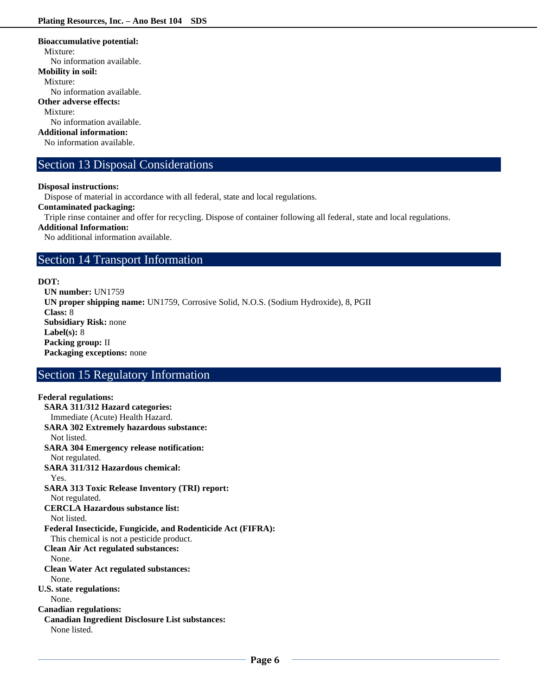#### **Bioaccumulative potential:**

Mixture:

No information available.

#### **Mobility in soil:**

Mixture:

No information available.

#### **Other adverse effects:**

Mixture:

No information available.

# **Additional information:**

No information available.

# Section 13 Disposal Considerations

#### **Disposal instructions:**

Dispose of material in accordance with all federal, state and local regulations.

# **Contaminated packaging:**

Triple rinse container and offer for recycling. Dispose of container following all federal, state and local regulations.

**Additional Information:**

No additional information available.

# Section 14 Transport Information

# **DOT:**

**UN number:** UN1759 **UN proper shipping name:** UN1759, Corrosive Solid, N.O.S. (Sodium Hydroxide), 8, PGII **Class:** 8 **Subsidiary Risk:** none **Label(s):** 8 **Packing group:** II **Packaging exceptions:** none

# Section 15 Regulatory Information

# **Federal regulations: SARA 311/312 Hazard categories:**  Immediate (Acute) Health Hazard. **SARA 302 Extremely hazardous substance:** Not listed. **SARA 304 Emergency release notification:** Not regulated. **SARA 311/312 Hazardous chemical:** Yes. **SARA 313 Toxic Release Inventory (TRI) report:** Not regulated. **CERCLA Hazardous substance list:** Not listed. **Federal Insecticide, Fungicide, and Rodenticide Act (FIFRA):** This chemical is not a pesticide product. **Clean Air Act regulated substances:** None. **Clean Water Act regulated substances:** None. **U.S. state regulations:**  None. **Canadian regulations: Canadian Ingredient Disclosure List substances:** None listed.